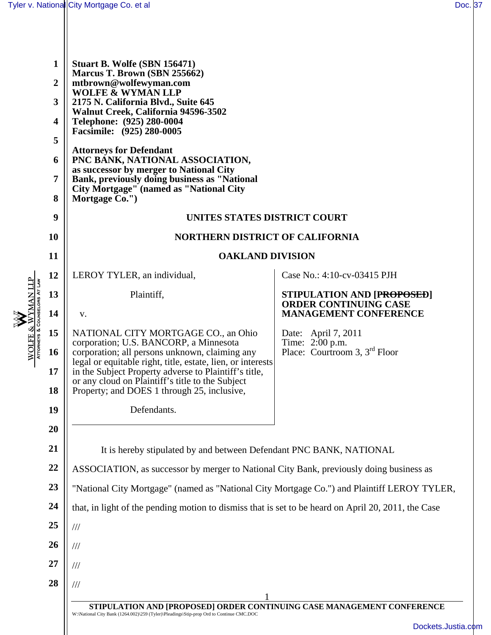| WOLFE & WYMAN LLP<br>Attorneys & Counselors At Law | 1<br>2<br>3<br>4<br>5<br>6<br>7<br>8<br>9<br>10 | Stuart B. Wolfe (SBN 156471)<br>Marcus T. Brown (SBN 255662)<br>mtbrown@wolfewyman.com<br><b>WOLFE &amp; WYMAN LLP</b><br>2175 N. California Blvd., Suite 645<br>Walnut Creek, California 94596-3502<br>Telephone: (925) 280-0004<br>Facsimile: (925) 280-0005<br><b>Attorneys for Defendant</b><br>PNC BANK, NATIONAL ASSOCIATION,<br>as successor by merger to National City<br>Bank, previously doing business as "National<br><b>City Mortgage" (named as "National City</b><br>Mortgage Co.")<br>UNITES STATES DISTRICT COURT<br><b>NORTHERN DISTRICT OF CALIFORNIA</b> |                                                                                            |  |
|----------------------------------------------------|-------------------------------------------------|------------------------------------------------------------------------------------------------------------------------------------------------------------------------------------------------------------------------------------------------------------------------------------------------------------------------------------------------------------------------------------------------------------------------------------------------------------------------------------------------------------------------------------------------------------------------------|--------------------------------------------------------------------------------------------|--|
|                                                    | 11                                              | <b>OAKLAND DIVISION</b>                                                                                                                                                                                                                                                                                                                                                                                                                                                                                                                                                      |                                                                                            |  |
|                                                    | 12                                              | LEROY TYLER, an individual,                                                                                                                                                                                                                                                                                                                                                                                                                                                                                                                                                  | Case No.: 4:10-cv-03415 PJH                                                                |  |
|                                                    | 13<br>14                                        | Plaintiff,<br>V.                                                                                                                                                                                                                                                                                                                                                                                                                                                                                                                                                             | STIPULATION AND [PROPOSED]<br><b>ORDER CONTINUING CASE</b><br><b>MANAGEMENT CONFERENCE</b> |  |
|                                                    | 15                                              | NATIONAL CITY MORTGAGE CO., an Ohio                                                                                                                                                                                                                                                                                                                                                                                                                                                                                                                                          | Date: April 7, 2011                                                                        |  |
|                                                    | 16<br>17<br>18                                  | corporation; U.S. BANCORP, a Minnesota<br>corporation; all persons unknown, claiming any<br>legal or equitable right, title, estate, lien, or interests<br>in the Subject Property adverse to Plaintiff's title,<br>or any cloud on Plaintiff's title to the Subject<br>Property; and DOES 1 through 25, inclusive,                                                                                                                                                                                                                                                          | Time: 2:00 p.m.<br>Place: Courtroom 3, 3 <sup>rd</sup> Floor                               |  |
|                                                    | 19<br>20                                        | Defendants.                                                                                                                                                                                                                                                                                                                                                                                                                                                                                                                                                                  |                                                                                            |  |
|                                                    | 21                                              | It is hereby stipulated by and between Defendant PNC BANK, NATIONAL                                                                                                                                                                                                                                                                                                                                                                                                                                                                                                          |                                                                                            |  |
|                                                    | 22                                              | ASSOCIATION, as successor by merger to National City Bank, previously doing business as                                                                                                                                                                                                                                                                                                                                                                                                                                                                                      |                                                                                            |  |
|                                                    | 23                                              | "National City Mortgage" (named as "National City Mortgage Co.") and Plaintiff LEROY TYLER,                                                                                                                                                                                                                                                                                                                                                                                                                                                                                  |                                                                                            |  |
|                                                    | 24                                              | that, in light of the pending motion to dismiss that is set to be heard on April 20, 2011, the Case                                                                                                                                                                                                                                                                                                                                                                                                                                                                          |                                                                                            |  |
|                                                    | 25                                              | $/\!/ \!/$                                                                                                                                                                                                                                                                                                                                                                                                                                                                                                                                                                   |                                                                                            |  |
|                                                    | 26                                              | $\frac{1}{1}$                                                                                                                                                                                                                                                                                                                                                                                                                                                                                                                                                                |                                                                                            |  |
|                                                    | 27                                              | $\frac{1}{1}$                                                                                                                                                                                                                                                                                                                                                                                                                                                                                                                                                                |                                                                                            |  |
|                                                    | 28                                              | $\frac{1}{1}$                                                                                                                                                                                                                                                                                                                                                                                                                                                                                                                                                                |                                                                                            |  |
|                                                    |                                                 | STIPULATION AND [PROPOSED] ORDER CONTINUING CASE MANAGEMENT CONFERENCE<br>W:\National City Bank (1264.002)\259 (Tyler)\Pleadings\Stip-prop Ord to Continue CMC.DOC                                                                                                                                                                                                                                                                                                                                                                                                           | Dockets.Justia.c                                                                           |  |